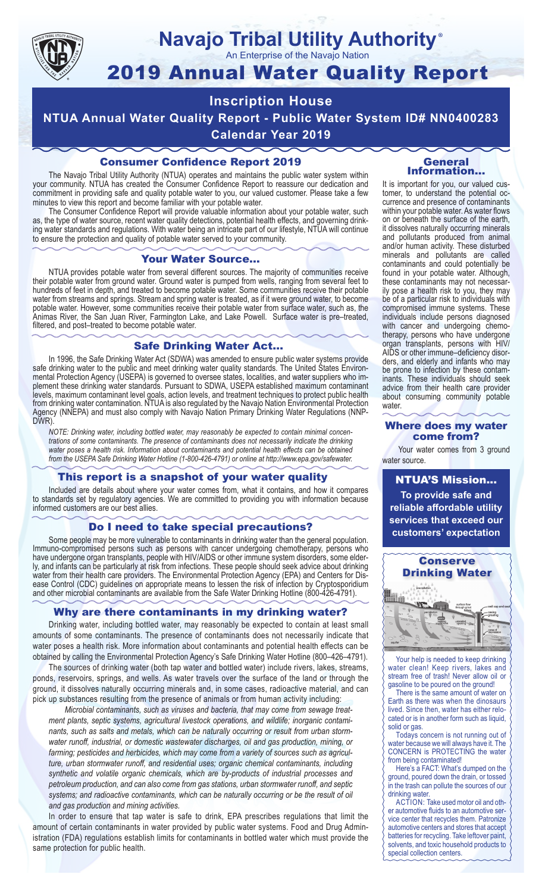

#### **Navajo Tribal Utility Authority** ®

An Enterprise of the Navajo Nation

# 2019 Annual Water Quality Report

## **Inscription House**

**NTUA Annual Water Quality Report - Public Water System ID# NN0400283**

**Calendar Year 2019**

#### Consumer Confidence Report 2019

The Navajo Tribal Utility Authority (NTUA) operates and maintains the public water system within your community. NTUA has created the Consumer Confidence Report to reassure our dedication and commitment in providing safe and quality potable water to you, our valued customer. Please take a few minutes to view this report and become familiar with your potable water.

The Consumer Confidence Report will provide valuable information about your potable water, such as, the type of water source, recent water quality detections, potential health effects, and governing drinking water standards and regulations. With water being an intricate part of our lifestyle, NTUA will continue to ensure the protection and quality of potable water served to your community.

#### Your Water Source…

NTUA provides potable water from several different sources. The majority of communities receive their potable water from ground water. Ground water is pumped from wells, ranging from several feet to hundreds of feet in depth, and treated to become potable water. Some communities receive their potable water from streams and springs. Stream and spring water is treated, as if it were ground water, to become potable water. However, some communities receive their potable water from surface water, such as, the Animas River, the San Juan River, Farmington Lake, and Lake Powell. Surface water is pre–treated, filtered, and post–treated to become potable water.

#### Safe Drinking Water Act…

In 1996, the Safe Drinking Water Act (SDWA) was amended to ensure public water systems provide safe drinking water to the public and meet drinking water quality standards. The United States Environmental Protection Agency (USEPA) is governed to oversee states, localities, and water suppliers who implement these drinking water standards. Pursuant to SDWA, USEPA established maximum contaminant levels, maximum contaminant level goals, action levels, and treatment techniques to protect public health from drinking water contamination. NTUA is also regulated by the Navajo Nation Environmental Protection Agency (NNEPA) and must also comply with Navajo Nation Primary Drinking Water Regulations (NNP-DWR)

*NOTE: Drinking water, including bottled water, may reasonably be expected to contain minimal concentrations of some contaminants. The presence of contaminants does not necessarily indicate the drinking water poses a health risk. Information about contaminants and potential health effects can be obtained from the USEPA Safe Drinking Water Hotline (1-800-426-4791) or online at http://www.epa.gov/safewater.*

#### This report is a snapshot of your water quality

Included are details about where your water comes from, what it contains, and how it compares to standards set by regulatory agencies. We are committed to providing you with information because informed customers are our best allies.

#### Do I need to take special precautions?

Some people may be more vulnerable to contaminants in drinking water than the general population. Immuno-compromised persons such as persons with cancer undergoing chemotherapy, persons who have undergone organ transplants, people with HIV/AIDS or other immune system disorders, some elderly, and infants can be particularly at risk from infections. These people should seek advice about drinking water from their health care providers. The Environmental Protection Agency (EPA) and Centers for Disease Control (CDC) guidelines on appropriate means to lessen the risk of infection by Cryptosporidium and other microbial contaminants are available from the Safe Water Drinking Hotline (800-426-4791).

#### Why are there contaminants in my drinking water?

Drinking water, including bottled water, may reasonably be expected to contain at least small amounts of some contaminants. The presence of contaminants does not necessarily indicate that water poses a health risk. More information about contaminants and potential health effects can be obtained by calling the Environmental Protection Agency's Safe Drinking Water Hotline (800–426–4791).

The sources of drinking water (both tap water and bottled water) include rivers, lakes, streams, ponds, reservoirs, springs, and wells. As water travels over the surface of the land or through the ground, it dissolves naturally occurring minerals and, in some cases, radioactive material, and can pick up substances resulting from the presence of animals or from human activity including:

*Microbial contaminants, such as viruses and bacteria, that may come from sewage treatment plants, septic systems, agricultural livestock operations, and wildlife; inorganic contaminants, such as salts and metals, which can be naturally occurring or result from urban stormwater runoff, industrial, or domestic wastewater discharges, oil and gas production, mining, or farming; pesticides and herbicides, which may come from a variety of sources such as agriculture, urban stormwater runoff, and residential uses; organic chemical contaminants, including synthetic and volatile organic chemicals, which are by-products of industrial processes and petroleum production, and can also come from gas stations, urban stormwater runoff, and septic systems; and radioactive contaminants, which can be naturally occurring or be the result of oil and gas production and mining activities.*

In order to ensure that tap water is safe to drink, EPA prescribes regulations that limit the amount of certain contaminants in water provided by public water systems. Food and Drug Administration (FDA) regulations establish limits for contaminants in bottled water which must provide the same protection for public health.

#### General Information…

It is important for you, our valued customer, to understand the potential occurrence and presence of contaminants within your potable water. As water flows on or beneath the surface of the earth, it dissolves naturally occurring minerals and pollutants produced from animal and/or human activity. These disturbed minerals and pollutants are called contaminants and could potentially be found in your potable water. Although, these contaminants may not necessarily pose a health risk to you, they may be of a particular risk to individuals with compromised immune systems. These individuals include persons diagnosed with cancer and undergoing chemo-<br>therapy, persons who have undergone organ transplants, persons with HIV/ AIDS or other immune–deficiency disor- ders, and elderly and infants who may be prone to infection by these contam- inants. These individuals should seek advice from their health care provider about consuming community potable water.

#### Where does my water come from?

Your water comes from 3 ground water source.

NTUA'S Mission... **To provide safe and reliable affordable utility services that exceed our customers' expectation**



Your help is needed to keep drinking water clean! Keep rivers, lakes and stream free of trash! Never allow oil or gasoline to be poured on the ground!

There is the same amount of water on Earth as there was when the dinosaurs lived. Since then, water has either relocated or is in another form such as liquid, solid or gas.

Todays concern is not running out of water because we will always have it. The CONCERN is PROTECTING the water from being contaminated!

Here's a FACT: What's dumped on the ground, poured down the drain, or tossed in the trash can pollute the sources of our drinking water.

ACTION: Take used motor oil and other automotive fluids to an automotive service center that recycles them. Patronize automotive centers and stores that accept batteries for recycling. Take leftover paint, solvents, and toxic household products to special collection centers.